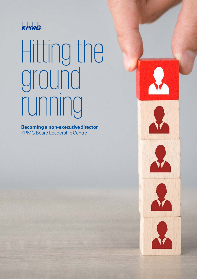

# Hitting the ground running

**Becoming a non-executivedirector** KPMG Board Leadership Centre









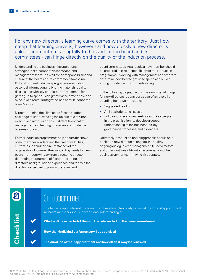For any new director, a learning curve comes with the territory. Just how steep that learning curve is, however - and how quickly a new director is able to contribute meaningfully to the work of the board and its committees - can hinge directly on the quality of the induction process.

Understanding the business – its operations, strategies, risks, competitive landscape, and management team – as well as the responsibilities and culture of the board and its committees takes time. But a structured induction programme – including essential information and briefing materials, quality discussions with key people, and a "roadmap" for getting up to speed – can greatly accelerate a new nonexecutive director's integration and contributionto the board's work.

Directors joining their first board face the added challenge of understanding the unique role of a nonexecutive director – and how it differs from that of management – in helping to oversee and guide the business forward.

Formal induction programmes help ensure that new board members understand their responsibilities, current issues and the circumstances of the organisation. However, the on-boarding needs for new board members will vary from director to director depending on a number of factors, including the director's background and experience, and the role the director is expected to play on the board and

board committees. As a result, a new member should be prepared to take responsibility for their induction programme – working with management and others to determine how best to get up to speed and build a strong foundation for informedoversight.

In the following pages, we discuss a number of things for new directors to consider as part of an overall onboarding framework, including:

- Suggested reading
- An initial orientation session
- Follow-up one-on-one meetings with key people in the organisation - to develop a deeper understanding of the business, its key governance processes, and its leaders.

Ultimately, a robust on-boarding process should help position a new director to engage in a healthy ongoing dialogue with management, fellow directors, and others with insights into the company and the business environment in which it operates.



**Che**

**cklist**

The terms of appointment of a board member should be clearly set out at the time of appointment. All board members should have a clear understanding of:

✔ **What will be expected of them in the role, including the time commitment**

✔ **How their individual performancewill beappraised**

✔ **The duration of their appointment and how often it may be renewed**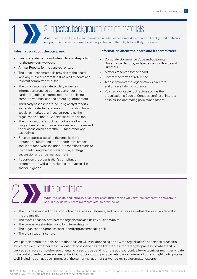

## Suggested background reading materials

A new board member will want to review a number of corporate documents and background materials early on. The specific documents will vary in line with the role, but are likely to include:

- Financial statements and interim financial reporting for the previous two years
- Annual Reports for the past year or two
- The most recent materials provided to the board (and any relevant committees), as well as board and relevant committee minutes
- The organisation's strategic plan, as well as information prepared by management or third parties regarding customer needs, the existing competitive landscape and emergingcompetitors
- Third party assessments including analyst reports, vulnerability studies, and any communication from activist or institutional investors regarding the organisation or board. Consider social media too
- The organisational structurechart as well as the biographies of the organisation's leadership team and the succession plans for the CEOand other key executives
- Recent reports assessing the organisation's reputation, culture, and the strength of its brand(s); and, if not otherwise included, presentations made to the board during the past year on risk, strategy, succession and crisis management
- Reports on the organisation's compliance programme as well as any significant investigations and/ or litigation

#### **Information about thecompany: Information about the board and itscommittees:**

- Corporate Governance Code and Corporate Governance Reports, and guidelines for Boards and **Directors**
- Matters reserved for the board
- Committee terms of reference
- A description of the organisation's directors and officers liability insurance
- Policies applicable to directors such as the organisation's Code of Conduct, conflict of interest policies, insider trading policies and others



### 2. Initial orientation

While the length and formality of an initial orientation session will vary from company to company, it should provide new board members with an overview of:

- The business including its products and services, customers, and competitors, as well as the key risks faced by the organisation
- The overall financial status of the organisation and its key business units
- The company's short-term and long term strategy
- The organisation's processes for identifying and managing risk
- The organisation's culture

Who participates in the initial orientation session will vary, depending on how the organisation's orientation process is structured – e.g., whether the initial orientation is viewed as the first step in a more lengthy process, or whether it is viewed as a more comprehensive orientation session. Depending on the approach, only a few executives might participate in the initial orientation session – e.g., the CEO, CFO and Company Secretary - or a number of others might participate as well, including perhaps each member of the senior management as well as key subject matter experts.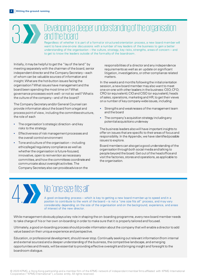## Developing a deeper understanding of the organisation and the organisation are not a formal or structured orientation process, a new board member and the board

Regardless of whether it is part of a formal or structured orientation process, a new board member will want to have one-on-one discussions with a number of key leaders of the business to gain a better understanding of the organisation – the culture, strategy, key risks, strengths, areas of concern – and to get to know the leaders outside of the formality of the boardroom.

Initially, it may be helpful to get the "lay of the land" by meeting separately with the chairman of the board, senior independent director and the Company Secretary – each of whom can be valuable sources of information and insight. What are the hot-button issues facing the organisation? What issues have management and the board been spending the most time on? What governance processes work well - or not so well? Whatis the culture of the company – and of the board?

The Company Secretary and/or General Counsel can provide information about the board from a legal and process point of view, including the committee structure, the role of each

- The organisation's strategic direction and key risks to the strategy
- Effectiveness of risk management processes and the overall control environment
- Tone and culture of the organisation including ethics/legal/ regulatory compliance as well as whether the organisation is future-focused, innovative, open to reinvention as necessary committee, and how the committees coordinate and communicate about oversight activities. The Company Secretary also can provide advice on the

responsibilities of a director and any independence requirements as well as an update on significant litigation, investigations, or other compliance related matters.

In the weeks and months following the initial orientation session, a new board member may also want to meet one-on-one with other leaders in the business: CEO; CFO; CRO (or equivalent); CIO and CISO (or equivalent); heads of sales, operations, marketing and HR; to get their views on a number of key company-wide issues, including:

- Strengths and weaknesses of the management team and the board
- The company's acquisition strategy including any potential acquisitions underway

The business leaders also will have important insights to offer on issues that are specific to their areas of focus and responsibility. In the Appendix, we have identified possible issues to explore.

Board members can also get a good understanding of the organisationthrough both social media and talking to people beyond the board. Get out of the head office and visit the factories, stores and operations, as applicable to the organisation.

## No "one size fits all"

A good on-boarding process – which is key to getting a new board member up to speed and in a position to contribute to the work of the board – is not a "one size fits all" process, and may vary considerably depending on the size of the organisation and on the background, experience, and areas of interest of the new director.

While management obviously plays a key role in shaping the on- boarding programme, every new board member needs to take charge of his or her own on-boarding in order to make sure that it is properly tailored and focused.

Ultimately, a good on-boarding process should provide information about the company that will enable a director to add value based on their unique experience and perspective.

Education, or professional development, should never stop. Continually seeking out relevant information (from internal and external sources) and a deeper understanding of the business, the competitive landscape, and emerging opportunities and threats, will be essential to providing effective oversight and bringing insight and foresight to the boardroom dialogue.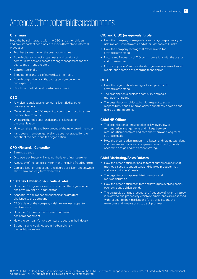## Appendix: Other potential discussion topics

#### **Chairman**

How the board interacts with the CEO and other officers, and how important decisions are made (formal and informal processes)

- Toughest issues facing the board/committees
- Board culture including openness and candour of communications and debate among management and the board, and among directors
- Committee chairs
- Expectations and role of committee members
- Board composition skills, background, experience and expertise
- Results of the last two board assessments

#### **CEO**

- Any significant issues or concerns identified by other business leaders
- On what does the CEO expect to spend the most time over the next few months
- What are the top opportunities and challenges for the organisation
- How can the skills and background of the new board member
- - and board members generally be best leveraged for the benefit of the board and the organisation

#### **CFO /Financial Controller**

- Earnings trends
- Disclosure philosophy, including the level of transparency
- Adequacy of the control environment, including fraud controls
- Capital allocation processes, and degree of alignment between short-term and long-term objectives

#### **Chief Risk Officer (or equivalent role)**

- How the CRO gains a view of risk across the orgnanisation and how key risks are aggregated
- Aspect(s) of risk management posing the greatest challenge to the company
- CRO's view of the company's risk awareness, appetite and tolerance
- How the CRO views the tone and culture of senior management
- How the company's risks compare to peers in the industry
- Strengths and weaknesses in the board's risk oversight processes

#### **CIO and CISO(or equivalent role)**

- How the company manages data security, compliance, cyber risk, major IT investments, and other "defensive" IT risks
- How the company leverages IT "offensively" for strategic advantage
- Nature and frequency of CIO communications with the board/ audit committee
- Company policies/practices for data governance, use of social media, and adoption of emerging technologies

#### **COO**

- How the organisation leverages its supply chain for strategic advantage
- The organisation's business continuity and crisis management plans
- The organisation's philosophy with respect to social responsibility issues in terms of both substantive policies and degree of transparency

#### **Chief HR Officer**

- The organisation's remuneration policy, overview of remuneration arrangements and linkage between remuneration incentives and both short-term and long-term strategic goals
- How the organisation attracts, motivates, and retains top talent and the diverse mix of skills, experiences and backgrounds needed to design and implement strategy

#### **Chief Marketing/Sales Officers**

- How the organisation defines its target customers and what methods it uses to understand and develop products that address customers' needs
- The organisation's approach to innovation and market disruption
- How the organisation monitors and leverages evolving social, economic and political trends
- The strategic planning process, the frequency of which strategy is reviewed, the process by which external trends are assessed with respect to their implications for strategies, and the measures and metrics used to track progress